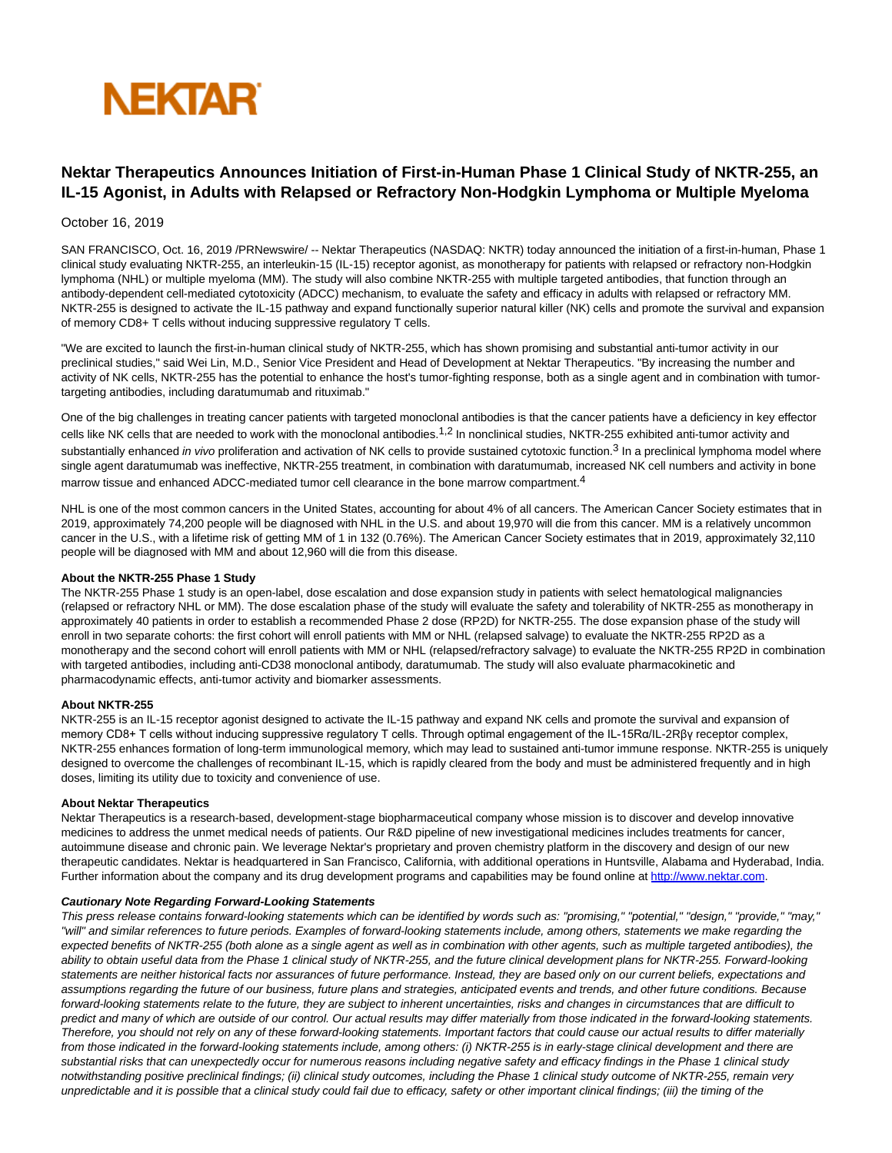

# **Nektar Therapeutics Announces Initiation of First-in-Human Phase 1 Clinical Study of NKTR-255, an IL-15 Agonist, in Adults with Relapsed or Refractory Non-Hodgkin Lymphoma or Multiple Myeloma**

# October 16, 2019

SAN FRANCISCO, Oct. 16, 2019 /PRNewswire/ -- Nektar Therapeutics (NASDAQ: NKTR) today announced the initiation of a first-in-human, Phase 1 clinical study evaluating NKTR-255, an interleukin-15 (IL-15) receptor agonist, as monotherapy for patients with relapsed or refractory non-Hodgkin lymphoma (NHL) or multiple myeloma (MM). The study will also combine NKTR-255 with multiple targeted antibodies, that function through an antibody-dependent cell-mediated cytotoxicity (ADCC) mechanism, to evaluate the safety and efficacy in adults with relapsed or refractory MM. NKTR-255 is designed to activate the IL-15 pathway and expand functionally superior natural killer (NK) cells and promote the survival and expansion of memory CD8+ T cells without inducing suppressive regulatory T cells.

"We are excited to launch the first-in-human clinical study of NKTR-255, which has shown promising and substantial anti-tumor activity in our preclinical studies," said Wei Lin, M.D., Senior Vice President and Head of Development at Nektar Therapeutics. "By increasing the number and activity of NK cells, NKTR-255 has the potential to enhance the host's tumor-fighting response, both as a single agent and in combination with tumortargeting antibodies, including daratumumab and rituximab."

One of the big challenges in treating cancer patients with targeted monoclonal antibodies is that the cancer patients have a deficiency in key effector cells like NK cells that are needed to work with the monoclonal antibodies.<sup>1,2</sup> In nonclinical studies, NKTR-255 exhibited anti-tumor activity and substantially enhanced in vivo proliferation and activation of NK cells to provide sustained cytotoxic function.<sup>3</sup> In a preclinical lymphoma model where single agent daratumumab was ineffective, NKTR-255 treatment, in combination with daratumumab, increased NK cell numbers and activity in bone marrow tissue and enhanced ADCC-mediated tumor cell clearance in the bone marrow compartment.<sup>4</sup>

NHL is one of the most common cancers in the United States, accounting for about 4% of all cancers. The American Cancer Society estimates that in 2019, approximately 74,200 people will be diagnosed with NHL in the U.S. and about 19,970 will die from this cancer. MM is a relatively uncommon cancer in the U.S., with a lifetime risk of getting MM of 1 in 132 (0.76%). The American Cancer Society estimates that in 2019, approximately 32,110 people will be diagnosed with MM and about 12,960 will die from this disease.

#### **About the NKTR-255 Phase 1 Study**

The NKTR-255 Phase 1 study is an open-label, dose escalation and dose expansion study in patients with select hematological malignancies (relapsed or refractory NHL or MM). The dose escalation phase of the study will evaluate the safety and tolerability of NKTR-255 as monotherapy in approximately 40 patients in order to establish a recommended Phase 2 dose (RP2D) for NKTR-255. The dose expansion phase of the study will enroll in two separate cohorts: the first cohort will enroll patients with MM or NHL (relapsed salvage) to evaluate the NKTR-255 RP2D as a monotherapy and the second cohort will enroll patients with MM or NHL (relapsed/refractory salvage) to evaluate the NKTR-255 RP2D in combination with targeted antibodies, including anti-CD38 monoclonal antibody, daratumumab. The study will also evaluate pharmacokinetic and pharmacodynamic effects, anti-tumor activity and biomarker assessments.

### **About NKTR-255**

NKTR-255 is an IL-15 receptor agonist designed to activate the IL-15 pathway and expand NK cells and promote the survival and expansion of memory CD8+ T cells without inducing suppressive regulatory T cells. Through optimal engagement of the IL-15Rα/IL-2Rβγ receptor complex, NKTR-255 enhances formation of long-term immunological memory, which may lead to sustained anti-tumor immune response. NKTR-255 is uniquely designed to overcome the challenges of recombinant IL-15, which is rapidly cleared from the body and must be administered frequently and in high doses, limiting its utility due to toxicity and convenience of use.

### **About Nektar Therapeutics**

Nektar Therapeutics is a research-based, development-stage biopharmaceutical company whose mission is to discover and develop innovative medicines to address the unmet medical needs of patients. Our R&D pipeline of new investigational medicines includes treatments for cancer, autoimmune disease and chronic pain. We leverage Nektar's proprietary and proven chemistry platform in the discovery and design of our new therapeutic candidates. Nektar is headquartered in San Francisco, California, with additional operations in Huntsville, Alabama and Hyderabad, India. Further information about the company and its drug development programs and capabilities may be found online at [http://www.nektar.com.](https://c212.net/c/link/?t=0&l=en&o=2611947-1&h=81811956&u=http%3A%2F%2Fwww.nektar.com%2F&a=http%3A%2F%2Fwww.nektar.com)

#### **Cautionary Note Regarding Forward-Looking Statements**

This press release contains forward-looking statements which can be identified by words such as: "promising," "potential," "design," "provide," "may," "will" and similar references to future periods. Examples of forward-looking statements include, among others, statements we make regarding the expected benefits of NKTR-255 (both alone as a single agent as well as in combination with other agents, such as multiple targeted antibodies), the ability to obtain useful data from the Phase 1 clinical study of NKTR-255, and the future clinical development plans for NKTR-255. Forward-looking statements are neither historical facts nor assurances of future performance. Instead, they are based only on our current beliefs, expectations and assumptions regarding the future of our business, future plans and strategies, anticipated events and trends, and other future conditions. Because forward-looking statements relate to the future, they are subject to inherent uncertainties, risks and changes in circumstances that are difficult to predict and many of which are outside of our control. Our actual results may differ materially from those indicated in the forward-looking statements. Therefore, you should not rely on any of these forward-looking statements. Important factors that could cause our actual results to differ materially from those indicated in the forward-looking statements include, among others: (i) NKTR-255 is in early-stage clinical development and there are substantial risks that can unexpectedly occur for numerous reasons including negative safety and efficacy findings in the Phase 1 clinical study notwithstanding positive preclinical findings; (ii) clinical study outcomes, including the Phase 1 clinical study outcome of NKTR-255, remain very unpredictable and it is possible that a clinical study could fail due to efficacy, safety or other important clinical findings; (iii) the timing of the